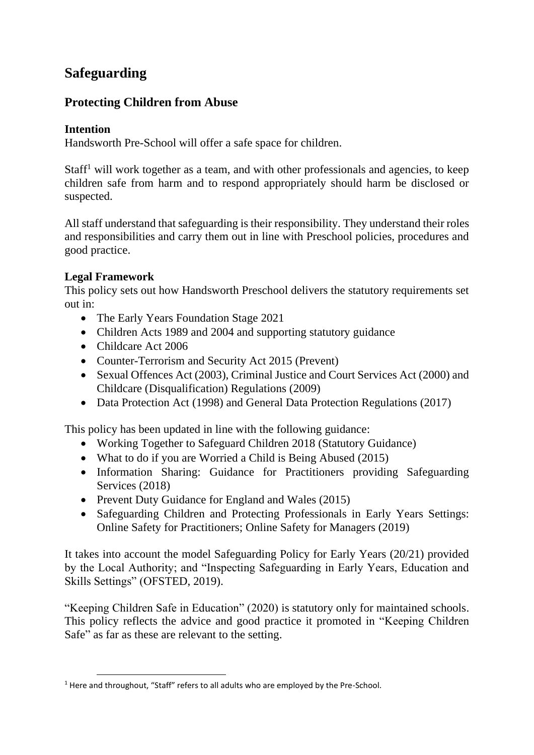# **Safeguarding**

# **Protecting Children from Abuse**

# **Intention**

Handsworth Pre-School will offer a safe space for children.

 $Staff<sup>1</sup>$  will work together as a team, and with other professionals and agencies, to keep children safe from harm and to respond appropriately should harm be disclosed or suspected.

All staff understand that safeguarding is their responsibility. They understand their roles and responsibilities and carry them out in line with Preschool policies, procedures and good practice.

# **Legal Framework**

This policy sets out how Handsworth Preschool delivers the statutory requirements set out in:

- The Early Years Foundation Stage 2021
- Children Acts 1989 and 2004 and supporting statutory guidance
- Childcare Act 2006
- Counter-Terrorism and Security Act 2015 (Prevent)
- Sexual Offences Act (2003), Criminal Justice and Court Services Act (2000) and Childcare (Disqualification) Regulations (2009)
- Data Protection Act (1998) and General Data Protection Regulations (2017)

This policy has been updated in line with the following guidance:

- Working Together to Safeguard Children 2018 (Statutory Guidance)
- What to do if you are Worried a Child is Being Abused (2015)
- Information Sharing: Guidance for Practitioners providing Safeguarding Services (2018)
- Prevent Duty Guidance for England and Wales (2015)
- Safeguarding Children and Protecting Professionals in Early Years Settings: Online Safety for Practitioners; Online Safety for Managers (2019)

It takes into account the model Safeguarding Policy for Early Years (20/21) provided by the Local Authority; and "Inspecting Safeguarding in Early Years, Education and Skills Settings" (OFSTED, 2019).

"Keeping Children Safe in Education" (2020) is statutory only for maintained schools. This policy reflects the advice and good practice it promoted in "Keeping Children Safe" as far as these are relevant to the setting.

<sup>&</sup>lt;sup>1</sup> Here and throughout, "Staff" refers to all adults who are employed by the Pre-School.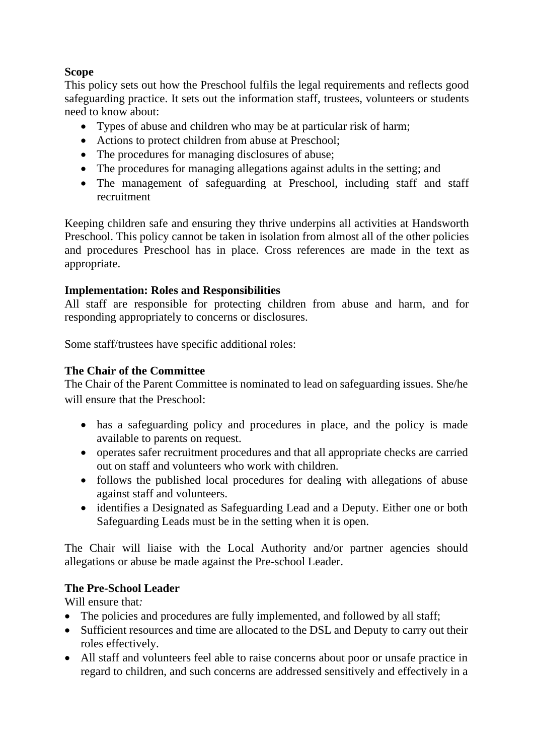# **Scope**

This policy sets out how the Preschool fulfils the legal requirements and reflects good safeguarding practice. It sets out the information staff, trustees, volunteers or students need to know about:

- Types of abuse and children who may be at particular risk of harm;
- Actions to protect children from abuse at Preschool;
- The procedures for managing disclosures of abuse;
- The procedures for managing allegations against adults in the setting; and
- The management of safeguarding at Preschool, including staff and staff recruitment

Keeping children safe and ensuring they thrive underpins all activities at Handsworth Preschool. This policy cannot be taken in isolation from almost all of the other policies and procedures Preschool has in place. Cross references are made in the text as appropriate.

# **Implementation: Roles and Responsibilities**

All staff are responsible for protecting children from abuse and harm, and for responding appropriately to concerns or disclosures.

Some staff/trustees have specific additional roles:

# **The Chair of the Committee**

The Chair of the Parent Committee is nominated to lead on safeguarding issues. She/he will ensure that the Preschool:

- has a safeguarding policy and procedures in place, and the policy is made available to parents on request.
- operates safer recruitment procedures and that all appropriate checks are carried out on staff and volunteers who work with children.
- follows the published local procedures for dealing with allegations of abuse against staff and volunteers.
- identifies a Designated as Safeguarding Lead and a Deputy. Either one or both Safeguarding Leads must be in the setting when it is open.

The Chair will liaise with the Local Authority and/or partner agencies should allegations or abuse be made against the Pre-school Leader.

# **The Pre-School Leader**

Will ensure that*:*

- The policies and procedures are fully implemented, and followed by all staff;
- Sufficient resources and time are allocated to the DSL and Deputy to carry out their roles effectively.
- All staff and volunteers feel able to raise concerns about poor or unsafe practice in regard to children, and such concerns are addressed sensitively and effectively in a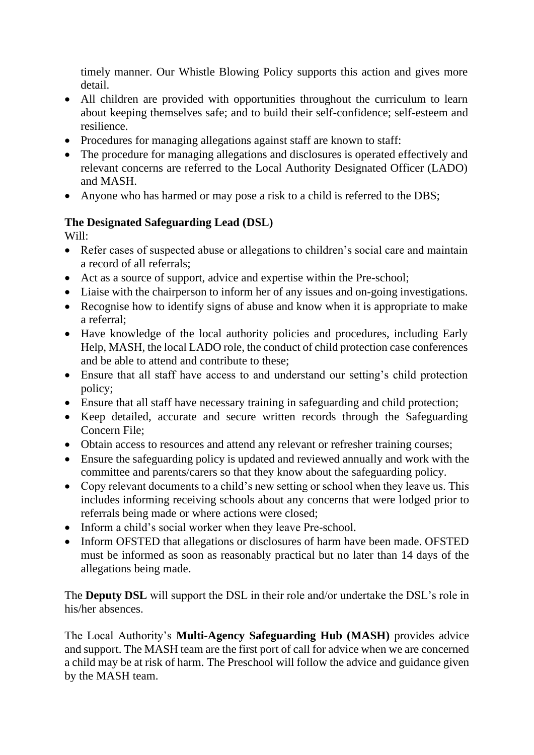timely manner. Our Whistle Blowing Policy supports this action and gives more detail.

- All children are provided with opportunities throughout the curriculum to learn about keeping themselves safe; and to build their self-confidence; self-esteem and resilience.
- Procedures for managing allegations against staff are known to staff:
- The procedure for managing allegations and disclosures is operated effectively and relevant concerns are referred to the Local Authority Designated Officer (LADO) and MASH.
- Anyone who has harmed or may pose a risk to a child is referred to the DBS;

# **The Designated Safeguarding Lead (DSL)**

Will:

- Refer cases of suspected abuse or allegations to children's social care and maintain a record of all referrals;
- Act as a source of support, advice and expertise within the Pre-school;
- Liaise with the chairperson to inform her of any issues and on-going investigations.
- Recognise how to identify signs of abuse and know when it is appropriate to make a referral;
- Have knowledge of the local authority policies and procedures, including Early Help, MASH, the local LADO role, the conduct of child protection case conferences and be able to attend and contribute to these;
- Ensure that all staff have access to and understand our setting's child protection policy;
- Ensure that all staff have necessary training in safeguarding and child protection;
- Keep detailed, accurate and secure written records through the Safeguarding Concern File;
- Obtain access to resources and attend any relevant or refresher training courses;
- Ensure the safeguarding policy is updated and reviewed annually and work with the committee and parents/carers so that they know about the safeguarding policy.
- Copy relevant documents to a child's new setting or school when they leave us. This includes informing receiving schools about any concerns that were lodged prior to referrals being made or where actions were closed;
- Inform a child's social worker when they leave Pre-school.
- Inform OFSTED that allegations or disclosures of harm have been made. OFSTED must be informed as soon as reasonably practical but no later than 14 days of the allegations being made.

The **Deputy DSL** will support the DSL in their role and/or undertake the DSL's role in his/her absences.

The Local Authority's **Multi-Agency Safeguarding Hub (MASH)** provides advice and support. The MASH team are the first port of call for advice when we are concerned a child may be at risk of harm. The Preschool will follow the advice and guidance given by the MASH team.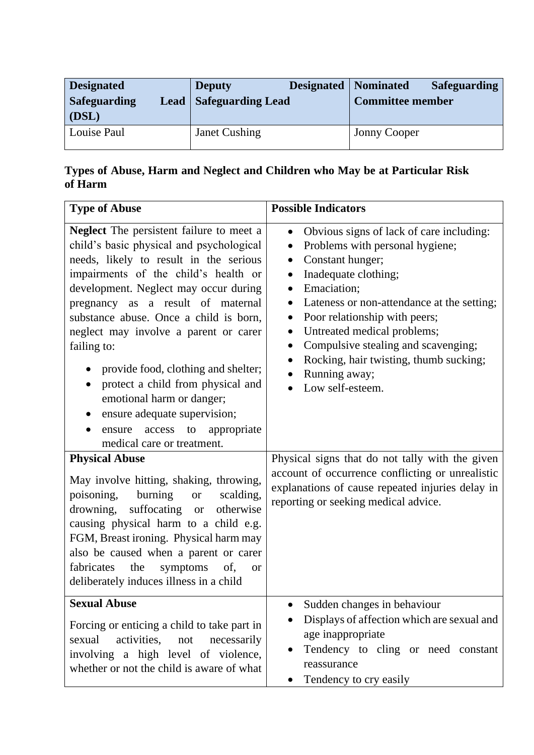| <b>Designated</b><br><b>Safeguarding</b><br>$\mid$ (DSL) | <b>Deputy</b><br><b>Lead   Safeguarding Lead</b> | <b>Designated</b>   Nominated<br><b>Safeguarding</b><br>Committee member |
|----------------------------------------------------------|--------------------------------------------------|--------------------------------------------------------------------------|
| Louise Paul                                              | Janet Cushing                                    | <b>Jonny Cooper</b>                                                      |

# **Types of Abuse, Harm and Neglect and Children who May be at Particular Risk of Harm**

| <b>Type of Abuse</b>                                                                                                                                                                                                                                                                                                                                                                                                                                                                                                                                                                                                                                                                                                                                                                                                                                                                   | <b>Possible Indicators</b>                                                                                                                                                                                                                                                                                                                                                                                                                                                                                                                                                                                                                                                                                                   |  |
|----------------------------------------------------------------------------------------------------------------------------------------------------------------------------------------------------------------------------------------------------------------------------------------------------------------------------------------------------------------------------------------------------------------------------------------------------------------------------------------------------------------------------------------------------------------------------------------------------------------------------------------------------------------------------------------------------------------------------------------------------------------------------------------------------------------------------------------------------------------------------------------|------------------------------------------------------------------------------------------------------------------------------------------------------------------------------------------------------------------------------------------------------------------------------------------------------------------------------------------------------------------------------------------------------------------------------------------------------------------------------------------------------------------------------------------------------------------------------------------------------------------------------------------------------------------------------------------------------------------------------|--|
| <b>Neglect</b> The persistent failure to meet a<br>child's basic physical and psychological<br>needs, likely to result in the serious<br>impairments of the child's health or<br>development. Neglect may occur during<br>pregnancy as a result of maternal<br>substance abuse. Once a child is born,<br>neglect may involve a parent or carer<br>failing to:<br>provide food, clothing and shelter;<br>protect a child from physical and<br>$\bullet$<br>emotional harm or danger;<br>ensure adequate supervision;<br>appropriate<br>access to<br>ensure<br>medical care or treatment.<br><b>Physical Abuse</b><br>May involve hitting, shaking, throwing,<br>burning<br>poisoning,<br>scalding,<br><b>or</b><br>suffocating or<br>drowning,<br>otherwise<br>causing physical harm to a child e.g.<br>FGM, Breast ironing. Physical harm may<br>also be caused when a parent or carer | Obvious signs of lack of care including:<br>$\bullet$<br>Problems with personal hygiene;<br>$\bullet$<br>Constant hunger;<br>$\bullet$<br>Inadequate clothing;<br>$\bullet$<br>Emaciation;<br>$\bullet$<br>Lateness or non-attendance at the setting;<br>$\bullet$<br>Poor relationship with peers;<br>$\bullet$<br>Untreated medical problems;<br>$\bullet$<br>Compulsive stealing and scavenging;<br>$\bullet$<br>Rocking, hair twisting, thumb sucking;<br>$\bullet$<br>Running away;<br>$\bullet$<br>Low self-esteem.<br>Physical signs that do not tally with the given<br>account of occurrence conflicting or unrealistic<br>explanations of cause repeated injuries delay in<br>reporting or seeking medical advice. |  |
| the<br>of,<br>fabricates<br>symptoms<br><b>or</b><br>deliberately induces illness in a child                                                                                                                                                                                                                                                                                                                                                                                                                                                                                                                                                                                                                                                                                                                                                                                           |                                                                                                                                                                                                                                                                                                                                                                                                                                                                                                                                                                                                                                                                                                                              |  |
| <b>Sexual Abuse</b><br>Forcing or enticing a child to take part in<br>activities,<br>sexual<br>necessarily<br>not<br>involving a high level of violence,<br>whether or not the child is aware of what                                                                                                                                                                                                                                                                                                                                                                                                                                                                                                                                                                                                                                                                                  | Sudden changes in behaviour<br>Displays of affection which are sexual and<br>age inappropriate<br>Tendency to cling or need constant<br>reassurance<br>Tendency to cry easily<br>$\bullet$                                                                                                                                                                                                                                                                                                                                                                                                                                                                                                                                   |  |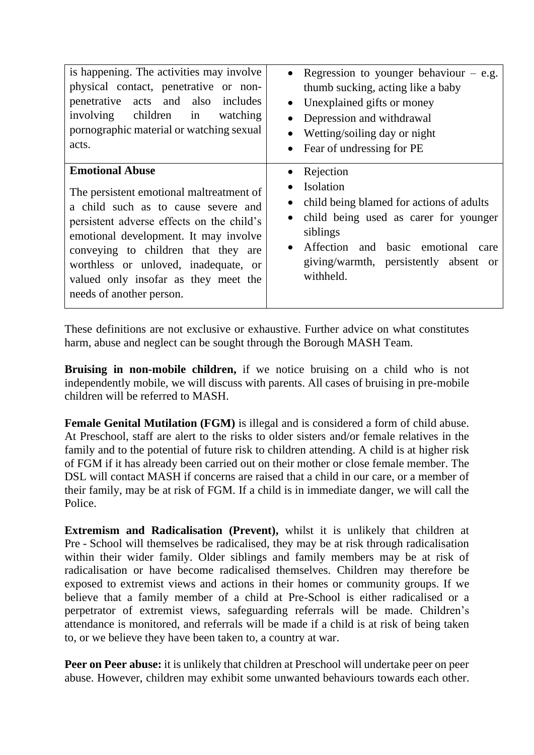| is happening. The activities may involve                                                                                                                                                                                                                                                                                 | • Regression to younger behaviour $-$ e.g.                                                                                                                                                                                                                                 |
|--------------------------------------------------------------------------------------------------------------------------------------------------------------------------------------------------------------------------------------------------------------------------------------------------------------------------|----------------------------------------------------------------------------------------------------------------------------------------------------------------------------------------------------------------------------------------------------------------------------|
| physical contact, penetrative or non-                                                                                                                                                                                                                                                                                    | thumb sucking, acting like a baby                                                                                                                                                                                                                                          |
| penetrative acts and also includes                                                                                                                                                                                                                                                                                       | Unexplained gifts or money                                                                                                                                                                                                                                                 |
| involving children in                                                                                                                                                                                                                                                                                                    | $\bullet$                                                                                                                                                                                                                                                                  |
| watching                                                                                                                                                                                                                                                                                                                 | Depression and withdrawal                                                                                                                                                                                                                                                  |
| pornographic material or watching sexual                                                                                                                                                                                                                                                                                 | $\bullet$                                                                                                                                                                                                                                                                  |
| acts.                                                                                                                                                                                                                                                                                                                    | Wetting/soiling day or night                                                                                                                                                                                                                                               |
| <b>Emotional Abuse</b>                                                                                                                                                                                                                                                                                                   | Fear of undressing for PE                                                                                                                                                                                                                                                  |
| The persistent emotional maltreatment of<br>a child such as to cause severe and<br>persistent adverse effects on the child's<br>emotional development. It may involve<br>conveying to children that they are<br>worthless or unloved, inadequate, or<br>valued only insofar as they meet the<br>needs of another person. | Rejection<br>$\bullet$<br>Isolation<br>child being blamed for actions of adults<br>$\bullet$<br>child being used as carer for younger<br>$\bullet$<br>siblings<br>Affection and basic emotional<br>care<br>$\bullet$<br>giving/warmth, persistently absent or<br>withheld. |

These definitions are not exclusive or exhaustive. Further advice on what constitutes harm, abuse and neglect can be sought through the Borough MASH Team.

**Bruising in non-mobile children,** if we notice bruising on a child who is not independently mobile, we will discuss with parents. All cases of bruising in pre-mobile children will be referred to MASH.

**Female Genital Mutilation (FGM)** is illegal and is considered a form of child abuse. At Preschool, staff are alert to the risks to older sisters and/or female relatives in the family and to the potential of future risk to children attending. A child is at higher risk of FGM if it has already been carried out on their mother or close female member. The DSL will contact MASH if concerns are raised that a child in our care, or a member of their family, may be at risk of FGM. If a child is in immediate danger, we will call the Police.

**Extremism and Radicalisation (Prevent),** whilst it is unlikely that children at Pre - School will themselves be radicalised, they may be at risk through radicalisation within their wider family. Older siblings and family members may be at risk of radicalisation or have become radicalised themselves. Children may therefore be exposed to extremist views and actions in their homes or community groups. If we believe that a family member of a child at Pre-School is either radicalised or a perpetrator of extremist views, safeguarding referrals will be made. Children's attendance is monitored, and referrals will be made if a child is at risk of being taken to, or we believe they have been taken to, a country at war.

**Peer on Peer abuse:** it is unlikely that children at Preschool will undertake peer on peer abuse. However, children may exhibit some unwanted behaviours towards each other.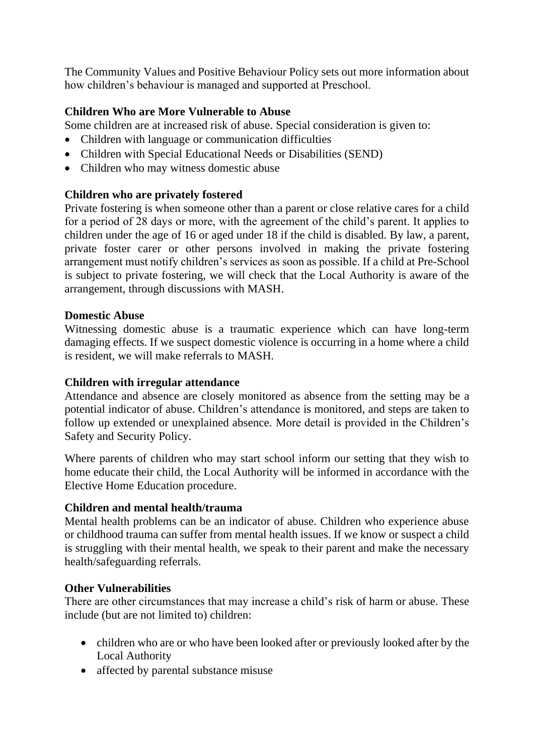The Community Values and Positive Behaviour Policy sets out more information about how children's behaviour is managed and supported at Preschool.

# **Children Who are More Vulnerable to Abuse**

Some children are at increased risk of abuse. Special consideration is given to:

- Children with language or communication difficulties
- Children with Special Educational Needs or Disabilities (SEND)
- Children who may witness domestic abuse

# **Children who are privately fostered**

Private fostering is when someone other than a parent or close relative cares for a child for a period of 28 days or more, with the agreement of the child's parent. It applies to children under the age of 16 or aged under 18 if the child is disabled. By law, a parent, private foster carer or other persons involved in making the private fostering arrangement must notify children's services as soon as possible. If a child at Pre-School is subject to private fostering, we will check that the Local Authority is aware of the arrangement, through discussions with MASH.

#### **Domestic Abuse**

Witnessing domestic abuse is a traumatic experience which can have long-term damaging effects. If we suspect domestic violence is occurring in a home where a child is resident, we will make referrals to MASH.

#### **Children with irregular attendance**

Attendance and absence are closely monitored as absence from the setting may be a potential indicator of abuse. Children's attendance is monitored, and steps are taken to follow up extended or unexplained absence. More detail is provided in the Children's Safety and Security Policy.

Where parents of children who may start school inform our setting that they wish to home educate their child, the Local Authority will be informed in accordance with the Elective Home Education procedure.

#### **Children and mental health/trauma**

Mental health problems can be an indicator of abuse. Children who experience abuse or childhood trauma can suffer from mental health issues. If we know or suspect a child is struggling with their mental health, we speak to their parent and make the necessary health/safeguarding referrals.

#### **Other Vulnerabilities**

There are other circumstances that may increase a child's risk of harm or abuse. These include (but are not limited to) children:

- children who are or who have been looked after or previously looked after by the Local Authority
- affected by parental substance misuse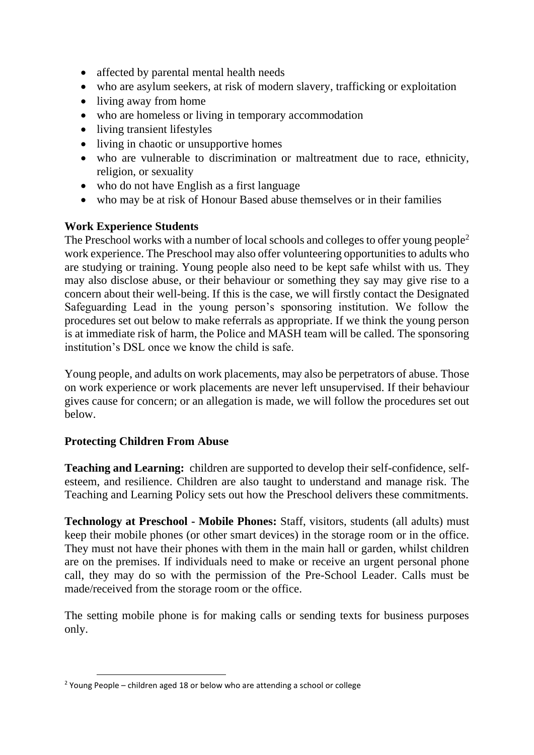- affected by parental mental health needs
- who are asylum seekers, at risk of modern slavery, trafficking or exploitation
- living away from home
- who are homeless or living in temporary accommodation
- living transient lifestyles
- living in chaotic or unsupportive homes
- who are vulnerable to discrimination or maltreatment due to race, ethnicity, religion, or sexuality
- who do not have English as a first language
- who may be at risk of Honour Based abuse themselves or in their families

#### **Work Experience Students**

The Preschool works with a number of local schools and colleges to offer young people<sup>2</sup> work experience. The Preschool may also offer volunteering opportunities to adults who are studying or training. Young people also need to be kept safe whilst with us. They may also disclose abuse, or their behaviour or something they say may give rise to a concern about their well-being. If this is the case, we will firstly contact the Designated Safeguarding Lead in the young person's sponsoring institution. We follow the procedures set out below to make referrals as appropriate. If we think the young person is at immediate risk of harm, the Police and MASH team will be called. The sponsoring institution's DSL once we know the child is safe.

Young people, and adults on work placements, may also be perpetrators of abuse. Those on work experience or work placements are never left unsupervised. If their behaviour gives cause for concern; or an allegation is made, we will follow the procedures set out below.

# **Protecting Children From Abuse**

**Teaching and Learning:** children are supported to develop their self-confidence, selfesteem, and resilience. Children are also taught to understand and manage risk. The Teaching and Learning Policy sets out how the Preschool delivers these commitments.

**Technology at Preschool - Mobile Phones:** Staff, visitors, students (all adults) must keep their mobile phones (or other smart devices) in the storage room or in the office. They must not have their phones with them in the main hall or garden, whilst children are on the premises. If individuals need to make or receive an urgent personal phone call, they may do so with the permission of the Pre-School Leader. Calls must be made/received from the storage room or the office.

The setting mobile phone is for making calls or sending texts for business purposes only.

<sup>&</sup>lt;sup>2</sup> Young People – children aged 18 or below who are attending a school or college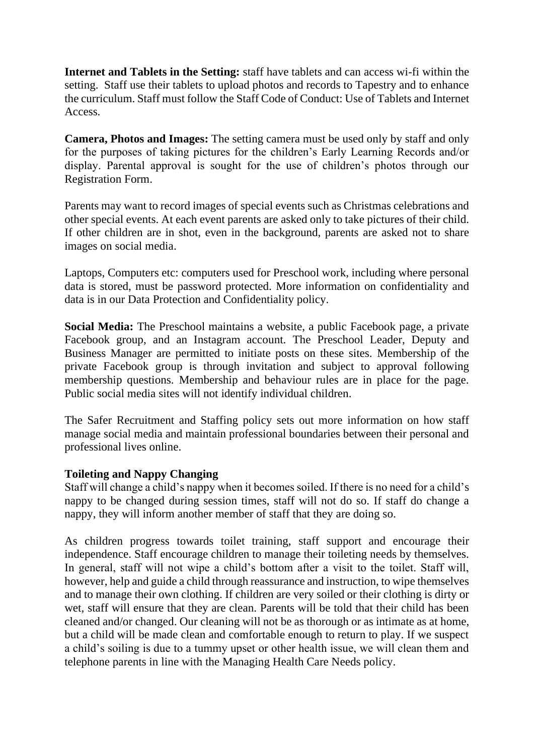**Internet and Tablets in the Setting:** staff have tablets and can access wi-fi within the setting. Staff use their tablets to upload photos and records to Tapestry and to enhance the curriculum. Staff must follow the Staff Code of Conduct: Use of Tablets and Internet Access.

**Camera, Photos and Images:** The setting camera must be used only by staff and only for the purposes of taking pictures for the children's Early Learning Records and/or display. Parental approval is sought for the use of children's photos through our Registration Form.

Parents may want to record images of special events such as Christmas celebrations and other special events. At each event parents are asked only to take pictures of their child. If other children are in shot, even in the background, parents are asked not to share images on social media.

Laptops, Computers etc: computers used for Preschool work, including where personal data is stored, must be password protected. More information on confidentiality and data is in our Data Protection and Confidentiality policy.

**Social Media:** The Preschool maintains a website, a public Facebook page, a private Facebook group, and an Instagram account. The Preschool Leader, Deputy and Business Manager are permitted to initiate posts on these sites. Membership of the private Facebook group is through invitation and subject to approval following membership questions. Membership and behaviour rules are in place for the page. Public social media sites will not identify individual children.

The Safer Recruitment and Staffing policy sets out more information on how staff manage social media and maintain professional boundaries between their personal and professional lives online.

#### **Toileting and Nappy Changing**

Staff will change a child's nappy when it becomes soiled. If there is no need for a child's nappy to be changed during session times, staff will not do so. If staff do change a nappy, they will inform another member of staff that they are doing so.

As children progress towards toilet training, staff support and encourage their independence. Staff encourage children to manage their toileting needs by themselves. In general, staff will not wipe a child's bottom after a visit to the toilet. Staff will, however, help and guide a child through reassurance and instruction, to wipe themselves and to manage their own clothing. If children are very soiled or their clothing is dirty or wet, staff will ensure that they are clean. Parents will be told that their child has been cleaned and/or changed. Our cleaning will not be as thorough or as intimate as at home, but a child will be made clean and comfortable enough to return to play. If we suspect a child's soiling is due to a tummy upset or other health issue, we will clean them and telephone parents in line with the Managing Health Care Needs policy.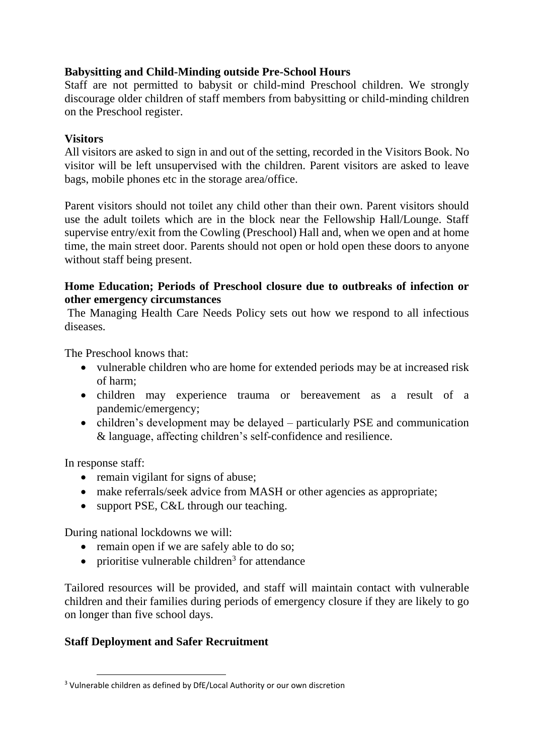# **Babysitting and Child-Minding outside Pre-School Hours**

Staff are not permitted to babysit or child-mind Preschool children. We strongly discourage older children of staff members from babysitting or child-minding children on the Preschool register.

#### **Visitors**

All visitors are asked to sign in and out of the setting, recorded in the Visitors Book. No visitor will be left unsupervised with the children. Parent visitors are asked to leave bags, mobile phones etc in the storage area/office.

Parent visitors should not toilet any child other than their own. Parent visitors should use the adult toilets which are in the block near the Fellowship Hall/Lounge. Staff supervise entry/exit from the Cowling (Preschool) Hall and, when we open and at home time, the main street door. Parents should not open or hold open these doors to anyone without staff being present.

#### **Home Education; Periods of Preschool closure due to outbreaks of infection or other emergency circumstances**

The Managing Health Care Needs Policy sets out how we respond to all infectious diseases.

The Preschool knows that:

- vulnerable children who are home for extended periods may be at increased risk of harm;
- children may experience trauma or bereavement as a result of a pandemic/emergency;
- children's development may be delayed particularly PSE and communication & language, affecting children's self-confidence and resilience.

In response staff:

- remain vigilant for signs of abuse;
- make referrals/seek advice from MASH or other agencies as appropriate;
- support PSE, C&L through our teaching.

During national lockdowns we will:

- remain open if we are safely able to do so;
- $\bullet$  prioritise vulnerable children<sup>3</sup> for attendance

Tailored resources will be provided, and staff will maintain contact with vulnerable children and their families during periods of emergency closure if they are likely to go on longer than five school days.

# **Staff Deployment and Safer Recruitment**

<sup>&</sup>lt;sup>3</sup> Vulnerable children as defined by DfE/Local Authority or our own discretion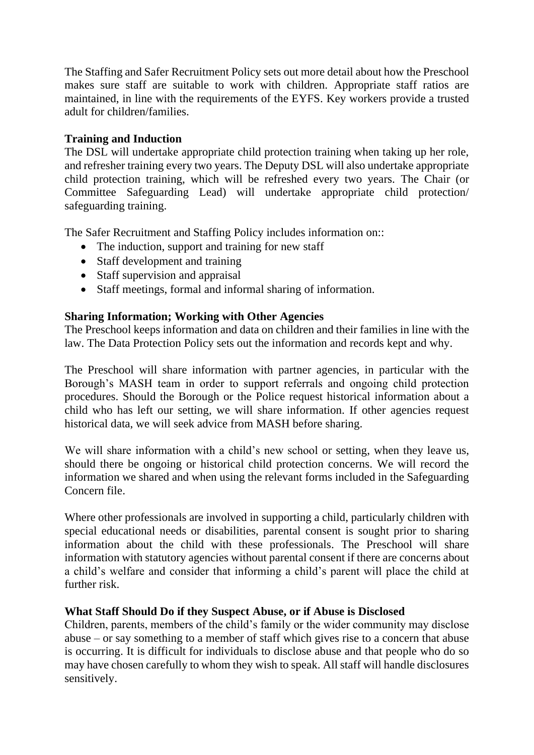The Staffing and Safer Recruitment Policy sets out more detail about how the Preschool makes sure staff are suitable to work with children. Appropriate staff ratios are maintained, in line with the requirements of the EYFS. Key workers provide a trusted adult for children/families.

# **Training and Induction**

The DSL will undertake appropriate child protection training when taking up her role, and refresher training every two years. The Deputy DSL will also undertake appropriate child protection training, which will be refreshed every two years. The Chair (or Committee Safeguarding Lead) will undertake appropriate child protection/ safeguarding training.

The Safer Recruitment and Staffing Policy includes information on::

- The induction, support and training for new staff
- Staff development and training
- Staff supervision and appraisal
- Staff meetings, formal and informal sharing of information.

# **Sharing Information; Working with Other Agencies**

The Preschool keeps information and data on children and their families in line with the law. The Data Protection Policy sets out the information and records kept and why.

The Preschool will share information with partner agencies, in particular with the Borough's MASH team in order to support referrals and ongoing child protection procedures. Should the Borough or the Police request historical information about a child who has left our setting, we will share information. If other agencies request historical data, we will seek advice from MASH before sharing.

We will share information with a child's new school or setting, when they leave us, should there be ongoing or historical child protection concerns. We will record the information we shared and when using the relevant forms included in the Safeguarding Concern file.

Where other professionals are involved in supporting a child, particularly children with special educational needs or disabilities, parental consent is sought prior to sharing information about the child with these professionals. The Preschool will share information with statutory agencies without parental consent if there are concerns about a child's welfare and consider that informing a child's parent will place the child at further risk.

#### **What Staff Should Do if they Suspect Abuse, or if Abuse is Disclosed**

Children, parents, members of the child's family or the wider community may disclose abuse – or say something to a member of staff which gives rise to a concern that abuse is occurring. It is difficult for individuals to disclose abuse and that people who do so may have chosen carefully to whom they wish to speak. All staff will handle disclosures sensitively.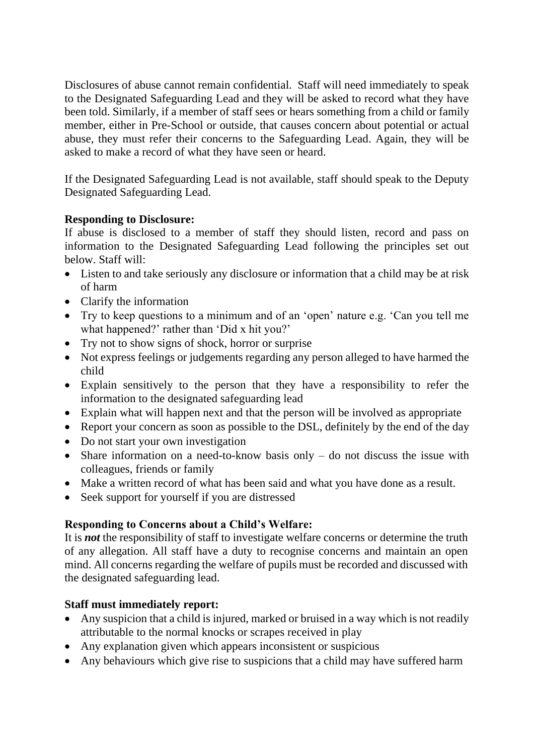Disclosures of abuse cannot remain confidential. Staff will need immediately to speak to the Designated Safeguarding Lead and they will be asked to record what they have been told. Similarly, if a member of staff sees or hears something from a child or family member, either in Pre-School or outside, that causes concern about potential or actual abuse, they must refer their concerns to the Safeguarding Lead. Again, they will be asked to make a record of what they have seen or heard.

If the Designated Safeguarding Lead is not available, staff should speak to the Deputy Designated Safeguarding Lead.

# **Responding to Disclosure:**

If abuse is disclosed to a member of staff they should listen, record and pass on information to the Designated Safeguarding Lead following the principles set out below. Staff will:

- Listen to and take seriously any disclosure or information that a child may be at risk of harm
- Clarify the information
- Try to keep questions to a minimum and of an 'open' nature e.g. 'Can you tell me what happened?' rather than 'Did x hit you?'
- Try not to show signs of shock, horror or surprise
- Not express feelings or judgements regarding any person alleged to have harmed the child
- Explain sensitively to the person that they have a responsibility to refer the information to the designated safeguarding lead
- Explain what will happen next and that the person will be involved as appropriate
- Report your concern as soon as possible to the DSL, definitely by the end of the day
- Do not start your own investigation
- Share information on a need-to-know basis only do not discuss the issue with colleagues, friends or family
- Make a written record of what has been said and what you have done as a result.
- Seek support for yourself if you are distressed

# **Responding to Concerns about a Child's Welfare:**

It is *not* the responsibility of staff to investigate welfare concerns or determine the truth of any allegation. All staff have a duty to recognise concerns and maintain an open mind. All concerns regarding the welfare of pupils must be recorded and discussed with the designated safeguarding lead.

# **Staff must immediately report:**

- Any suspicion that a child is injured, marked or bruised in a way which is not readily attributable to the normal knocks or scrapes received in play
- Any explanation given which appears inconsistent or suspicious
- Any behaviours which give rise to suspicions that a child may have suffered harm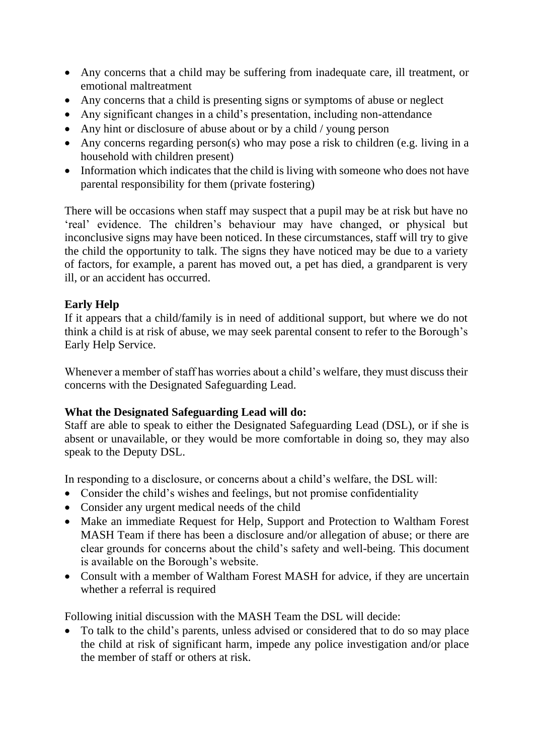- Any concerns that a child may be suffering from inadequate care, ill treatment, or emotional maltreatment
- Any concerns that a child is presenting signs or symptoms of abuse or neglect
- Any significant changes in a child's presentation, including non-attendance
- Any hint or disclosure of abuse about or by a child / young person
- Any concerns regarding person(s) who may pose a risk to children (e.g. living in a household with children present)
- Information which indicates that the child is living with someone who does not have parental responsibility for them (private fostering)

There will be occasions when staff may suspect that a pupil may be at risk but have no 'real' evidence. The children's behaviour may have changed, or physical but inconclusive signs may have been noticed. In these circumstances, staff will try to give the child the opportunity to talk. The signs they have noticed may be due to a variety of factors, for example, a parent has moved out, a pet has died, a grandparent is very ill, or an accident has occurred.

# **Early Help**

If it appears that a child/family is in need of additional support, but where we do not think a child is at risk of abuse, we may seek parental consent to refer to the Borough's Early Help Service.

Whenever a member of staff has worries about a child's welfare, they must discuss their concerns with the Designated Safeguarding Lead.

#### **What the Designated Safeguarding Lead will do:**

Staff are able to speak to either the Designated Safeguarding Lead (DSL), or if she is absent or unavailable, or they would be more comfortable in doing so, they may also speak to the Deputy DSL.

In responding to a disclosure, or concerns about a child's welfare, the DSL will:

- Consider the child's wishes and feelings, but not promise confidentiality
- Consider any urgent medical needs of the child
- Make an immediate Request for Help, Support and Protection to Waltham Forest MASH Team if there has been a disclosure and/or allegation of abuse; or there are clear grounds for concerns about the child's safety and well-being. This document is available on the Borough's website.
- Consult with a member of Waltham Forest MASH for advice, if they are uncertain whether a referral is required

Following initial discussion with the MASH Team the DSL will decide:

• To talk to the child's parents, unless advised or considered that to do so may place the child at risk of significant harm, impede any police investigation and/or place the member of staff or others at risk.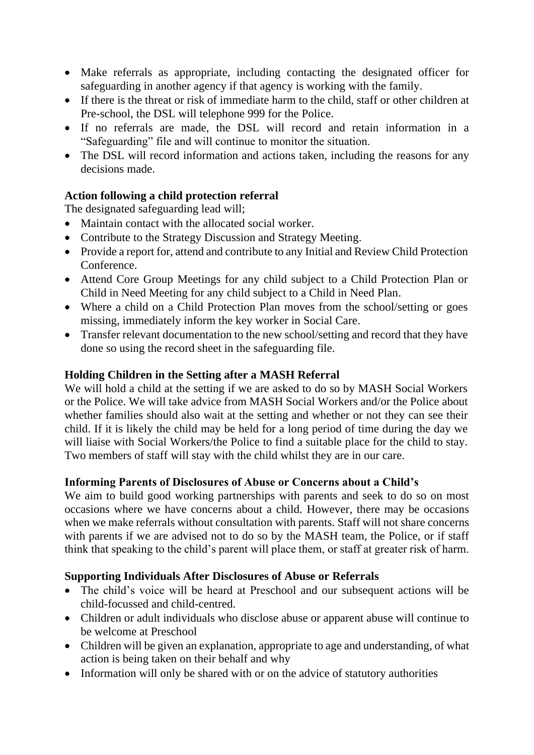- Make referrals as appropriate, including contacting the designated officer for safeguarding in another agency if that agency is working with the family.
- If there is the threat or risk of immediate harm to the child, staff or other children at Pre-school, the DSL will telephone 999 for the Police.
- If no referrals are made, the DSL will record and retain information in a "Safeguarding" file and will continue to monitor the situation.
- The DSL will record information and actions taken, including the reasons for any decisions made.

# **Action following a child protection referral**

The designated safeguarding lead will;

- Maintain contact with the allocated social worker.
- Contribute to the Strategy Discussion and Strategy Meeting.
- Provide a report for, attend and contribute to any Initial and Review Child Protection Conference.
- Attend Core Group Meetings for any child subject to a Child Protection Plan or Child in Need Meeting for any child subject to a Child in Need Plan.
- Where a child on a Child Protection Plan moves from the school/setting or goes missing, immediately inform the key worker in Social Care.
- Transfer relevant documentation to the new school/setting and record that they have done so using the record sheet in the safeguarding file.

# **Holding Children in the Setting after a MASH Referral**

We will hold a child at the setting if we are asked to do so by MASH Social Workers or the Police. We will take advice from MASH Social Workers and/or the Police about whether families should also wait at the setting and whether or not they can see their child. If it is likely the child may be held for a long period of time during the day we will liaise with Social Workers/the Police to find a suitable place for the child to stay. Two members of staff will stay with the child whilst they are in our care.

#### **Informing Parents of Disclosures of Abuse or Concerns about a Child's**

We aim to build good working partnerships with parents and seek to do so on most occasions where we have concerns about a child. However, there may be occasions when we make referrals without consultation with parents. Staff will not share concerns with parents if we are advised not to do so by the MASH team, the Police, or if staff think that speaking to the child's parent will place them, or staff at greater risk of harm.

#### **Supporting Individuals After Disclosures of Abuse or Referrals**

- The child's voice will be heard at Preschool and our subsequent actions will be child-focussed and child-centred.
- Children or adult individuals who disclose abuse or apparent abuse will continue to be welcome at Preschool
- Children will be given an explanation, appropriate to age and understanding, of what action is being taken on their behalf and why
- Information will only be shared with or on the advice of statutory authorities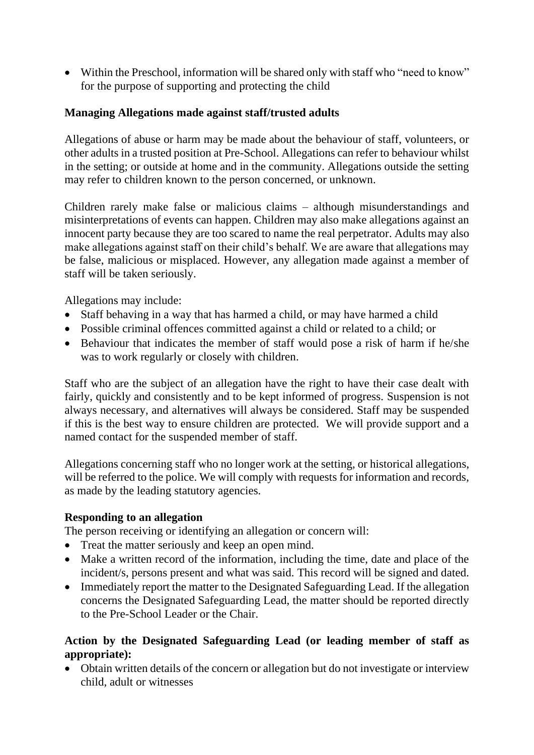• Within the Preschool, information will be shared only with staff who "need to know" for the purpose of supporting and protecting the child

#### **Managing Allegations made against staff/trusted adults**

Allegations of abuse or harm may be made about the behaviour of staff, volunteers, or other adults in a trusted position at Pre-School. Allegations can refer to behaviour whilst in the setting; or outside at home and in the community. Allegations outside the setting may refer to children known to the person concerned, or unknown.

Children rarely make false or malicious claims – although misunderstandings and misinterpretations of events can happen. Children may also make allegations against an innocent party because they are too scared to name the real perpetrator. Adults may also make allegations against staff on their child's behalf. We are aware that allegations may be false, malicious or misplaced. However, any allegation made against a member of staff will be taken seriously.

Allegations may include:

- Staff behaving in a way that has harmed a child, or may have harmed a child
- Possible criminal offences committed against a child or related to a child; or
- Behaviour that indicates the member of staff would pose a risk of harm if he/she was to work regularly or closely with children.

Staff who are the subject of an allegation have the right to have their case dealt with fairly, quickly and consistently and to be kept informed of progress. Suspension is not always necessary, and alternatives will always be considered. Staff may be suspended if this is the best way to ensure children are protected. We will provide support and a named contact for the suspended member of staff.

Allegations concerning staff who no longer work at the setting, or historical allegations, will be referred to the police. We will comply with requests for information and records, as made by the leading statutory agencies.

#### **Responding to an allegation**

The person receiving or identifying an allegation or concern will:

- Treat the matter seriously and keep an open mind.
- Make a written record of the information, including the time, date and place of the incident/s, persons present and what was said. This record will be signed and dated.
- Immediately report the matter to the Designated Safeguarding Lead. If the allegation concerns the Designated Safeguarding Lead, the matter should be reported directly to the Pre-School Leader or the Chair.

# **Action by the Designated Safeguarding Lead (or leading member of staff as appropriate):**

• Obtain written details of the concern or allegation but do not investigate or interview child, adult or witnesses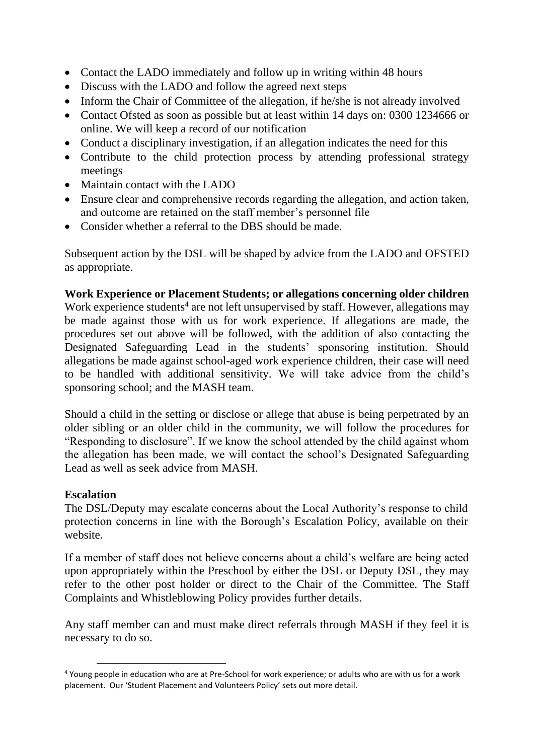- Contact the LADO immediately and follow up in writing within 48 hours
- Discuss with the LADO and follow the agreed next steps
- Inform the Chair of Committee of the allegation, if he/she is not already involved
- Contact Ofsted as soon as possible but at least within 14 days on: 0300 1234666 or online. We will keep a record of our notification
- Conduct a disciplinary investigation, if an allegation indicates the need for this
- Contribute to the child protection process by attending professional strategy meetings
- Maintain contact with the LADO
- Ensure clear and comprehensive records regarding the allegation, and action taken, and outcome are retained on the staff member's personnel file
- Consider whether a referral to the DBS should be made.

Subsequent action by the DSL will be shaped by advice from the LADO and OFSTED as appropriate.

#### **Work Experience or Placement Students; or allegations concerning older children**

Work experience students<sup>4</sup> are not left unsupervised by staff. However, allegations may be made against those with us for work experience. If allegations are made, the procedures set out above will be followed, with the addition of also contacting the Designated Safeguarding Lead in the students' sponsoring institution. Should allegations be made against school-aged work experience children, their case will need to be handled with additional sensitivity. We will take advice from the child's sponsoring school; and the MASH team.

Should a child in the setting or disclose or allege that abuse is being perpetrated by an older sibling or an older child in the community, we will follow the procedures for "Responding to disclosure". If we know the school attended by the child against whom the allegation has been made, we will contact the school's Designated Safeguarding Lead as well as seek advice from MASH.

#### **Escalation**

The DSL/Deputy may escalate concerns about the Local Authority's response to child protection concerns in line with the Borough's Escalation Policy, available on their website.

If a member of staff does not believe concerns about a child's welfare are being acted upon appropriately within the Preschool by either the DSL or Deputy DSL, they may refer to the other post holder or direct to the Chair of the Committee. The Staff Complaints and Whistleblowing Policy provides further details.

Any staff member can and must make direct referrals through MASH if they feel it is necessary to do so.

<sup>4</sup> Young people in education who are at Pre-School for work experience; or adults who are with us for a work placement. Our 'Student Placement and Volunteers Policy' sets out more detail.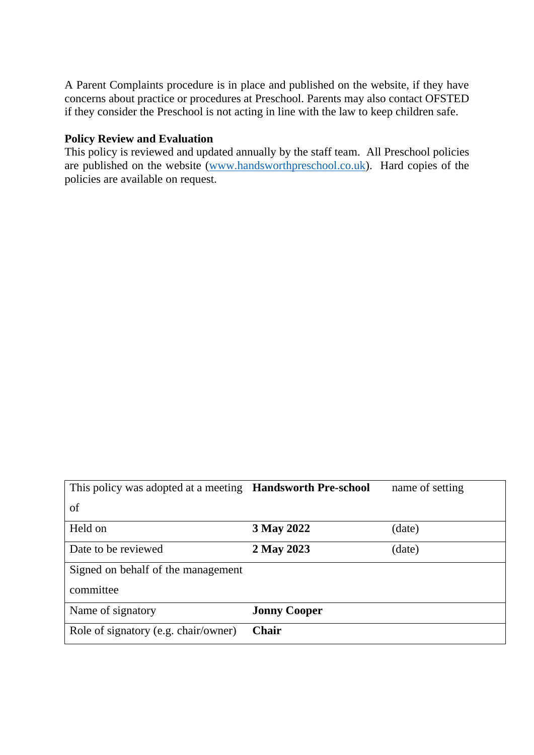A Parent Complaints procedure is in place and published on the website, if they have concerns about practice or procedures at Preschool. Parents may also contact OFSTED if they consider the Preschool is not acting in line with the law to keep children safe.

#### **Policy Review and Evaluation**

This policy is reviewed and updated annually by the staff team. All Preschool policies are published on the website [\(www.handsworthpreschool.co.uk\)](http://www.handsworthpreschool.co.uk/). Hard copies of the policies are available on request.

| This policy was adopted at a meeting <b>Handsworth Pre-school</b> |                     | name of setting |
|-------------------------------------------------------------------|---------------------|-----------------|
| of                                                                |                     |                 |
| Held on                                                           | 3 May 2022          | (date)          |
| Date to be reviewed                                               | 2 May 2023          | (date)          |
| Signed on behalf of the management                                |                     |                 |
| committee                                                         |                     |                 |
| Name of signatory                                                 | <b>Jonny Cooper</b> |                 |
| Role of signatory (e.g. chair/owner)                              | <b>Chair</b>        |                 |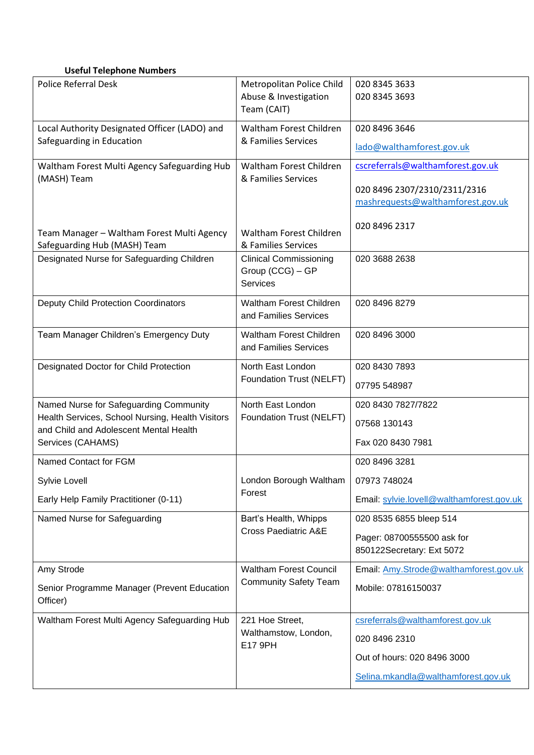#### **Useful Telephone Numbers**

| <b>Police Referral Desk</b>                                                | Metropolitan Police Child<br>Abuse & Investigation<br>Team (CAIT) | 020 8345 3633<br>020 8345 3693                                    |
|----------------------------------------------------------------------------|-------------------------------------------------------------------|-------------------------------------------------------------------|
| Local Authority Designated Officer (LADO) and<br>Safeguarding in Education | Waltham Forest Children<br>& Families Services                    | 020 8496 3646<br>lado@walthamforest.gov.uk                        |
| Waltham Forest Multi Agency Safeguarding Hub                               | Waltham Forest Children<br>& Families Services                    | cscreferrals@walthamforest.gov.uk                                 |
| (MASH) Team                                                                |                                                                   | 020 8496 2307/2310/2311/2316<br>mashrequests@walthamforest.gov.uk |
| Team Manager - Waltham Forest Multi Agency<br>Safeguarding Hub (MASH) Team | Waltham Forest Children<br>& Families Services                    | 020 8496 2317                                                     |
| Designated Nurse for Safeguarding Children                                 | <b>Clinical Commissioning</b><br>Group (CCG) - GP<br>Services     | 020 3688 2638                                                     |
| <b>Deputy Child Protection Coordinators</b>                                | <b>Waltham Forest Children</b><br>and Families Services           | 020 8496 8279                                                     |
| Team Manager Children's Emergency Duty                                     | <b>Waltham Forest Children</b><br>and Families Services           | 020 8496 3000                                                     |
| Designated Doctor for Child Protection                                     | North East London<br>Foundation Trust (NELFT)                     | 020 8430 7893<br>07795 548987                                     |
| Named Nurse for Safeguarding Community                                     | North East London                                                 | 020 8430 7827/7822                                                |
| Health Services, School Nursing, Health Visitors                           | Foundation Trust (NELFT)                                          | 07568 130143                                                      |
| and Child and Adolescent Mental Health<br>Services (CAHAMS)                |                                                                   | Fax 020 8430 7981                                                 |
| Named Contact for FGM                                                      |                                                                   | 020 8496 3281                                                     |
| Sylvie Lovell                                                              | London Borough Waltham                                            | 07973 748024                                                      |
| Early Help Family Practitioner (0-11)                                      | Forest                                                            | Email: sylvie.lovell@walthamforest.gov.uk                         |
| Named Nurse for Safeguarding                                               | Bart's Health, Whipps<br><b>Cross Paediatric A&amp;E</b>          | 020 8535 6855 bleep 514                                           |
|                                                                            |                                                                   | Pager: 08700555500 ask for<br>850122Secretary: Ext 5072           |
| Amy Strode                                                                 | <b>Waltham Forest Council</b><br><b>Community Safety Team</b>     | Email: Amy.Strode@walthamforest.gov.uk                            |
| Senior Programme Manager (Prevent Education<br>Officer)                    |                                                                   | Mobile: 07816150037                                               |
| Waltham Forest Multi Agency Safeguarding Hub                               | 221 Hoe Street,                                                   | csreferrals@walthamforest.gov.uk                                  |
|                                                                            | Walthamstow, London,<br>E17 9PH                                   | 020 8496 2310                                                     |
|                                                                            |                                                                   | Out of hours: 020 8496 3000                                       |
|                                                                            |                                                                   | Selina.mkandla@walthamforest.gov.uk                               |